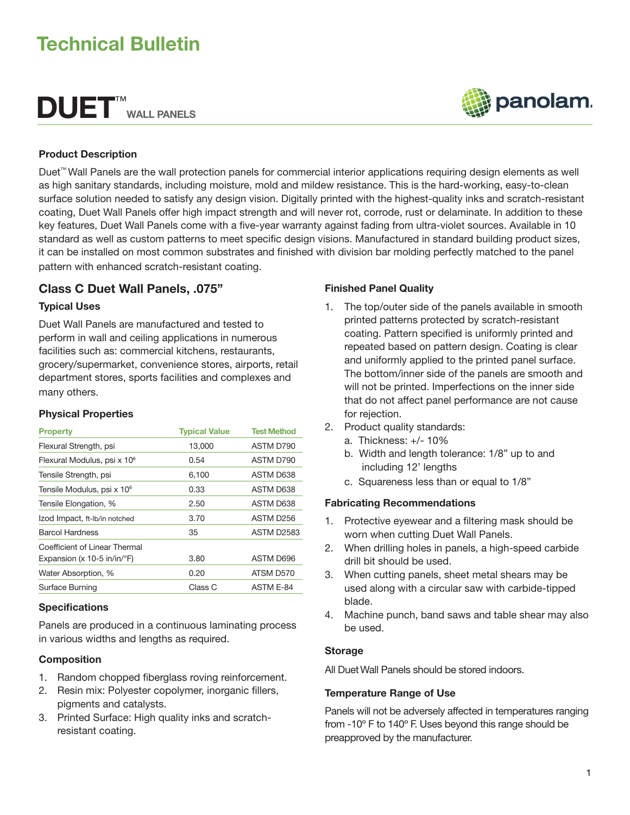# Technical Bulletin

# DUET™ WALL PANELS



#### Product Description

Duet™ Wall Panels are the wall protection panels for commercial interior applications requiring design elements as well as high sanitary standards, including moisture, mold and mildew resistance. This is the hard-working, easy-to-clean surface solution needed to satisfy any design vision. Digitally printed with the highest-quality inks and scratch-resistant coating, Duet Wall Panels offer high impact strength and will never rot, corrode, rust or delaminate. In addition to these key features, Duet Wall Panels come with a five-year warranty against fading from ultra-violet sources. Available in 10 standard as well as custom patterns to meet specific design visions. Manufactured in standard building product sizes, it can be installed on most common substrates and finished with division bar molding perfectly matched to the panel pattern with enhanced scratch-resistant coating.

# Class C Duet Wall Panels, .075"

#### Typical Uses

Duet Wall Panels are manufactured and tested to perform in wall and ceiling applications in numerous facilities such as: commercial kitchens, restaurants, grocery/supermarket, convenience stores, airports, retail department stores, sports facilities and complexes and many others.

#### Physical Properties

| <b>Property</b>                         | <b>Typical Value</b> | <b>Test Method</b> |
|-----------------------------------------|----------------------|--------------------|
| Flexural Strength, psi                  | 13,000               | ASTM D790          |
| Flexural Modulus, psi x 10 <sup>6</sup> | 0.54                 | ASTM D790          |
| Tensile Strength, psi                   | 6,100                | ASTM D638          |
| Tensile Modulus, psi x 10 <sup>6</sup>  | 0.33                 | ASTM D638          |
| Tensile Elongation, %                   | 2.50                 | ASTM D638          |
| Izod Impact, ft-Ib/in notched           | 3.70                 | ASTM D256          |
| <b>Barcol Hardness</b>                  | 35                   | <b>ASTM D2583</b>  |
| Coefficient of Linear Thermal           |                      |                    |
| Expansion (x 10-5 in/in/ $\degree$ F)   | 3.80                 | ASTM D696          |
| Water Absorption, %                     | 0.20                 | ATSM D570          |
| Surface Burning                         | Class C              | ASTM E-84          |

## **Specifications**

Panels are produced in a continuous laminating process in various widths and lengths as required.

#### Composition

- 1. Random chopped fiberglass roving reinforcement.
- 2. Resin mix: Polyester copolymer, inorganic fillers, pigments and catalysts.
- 3. Printed Surface: High quality inks and scratchresistant coating.

### Finished Panel Quality

- 1. The top/outer side of the panels available in smooth printed patterns protected by scratch-resistant coating. Pattern specified is uniformly printed and repeated based on pattern design. Coating is clear and uniformly applied to the printed panel surface. The bottom/inner side of the panels are smooth and will not be printed. Imperfections on the inner side that do not affect panel performance are not cause for rejection.
- 2. Product quality standards:
	- a. Thickness: +/- 10%
	- b. Width and length tolerance: 1/8" up to and including 12' lengths
	- c. Squareness less than or equal to 1/8"

#### Fabricating Recommendations

- 1. Protective eyewear and a filtering mask should be worn when cutting Duet Wall Panels.
- 2. When drilling holes in panels, a high-speed carbide drill bit should be used.
- 3. When cutting panels, sheet metal shears may be used along with a circular saw with carbide-tipped blade.
- 4. Machine punch, band saws and table shear may also be used.

#### **Storage**

All Duet Wall Panels should be stored indoors.

#### Temperature Range of Use

Panels will not be adversely affected in temperatures ranging from -10º F to 140º F. Uses beyond this range should be preapproved by the manufacturer.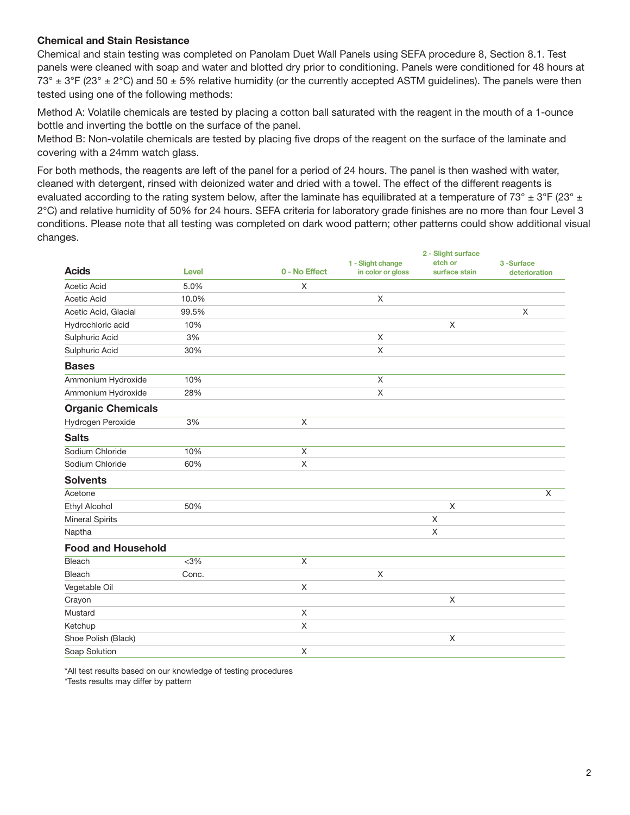#### Chemical and Stain Resistance

Chemical and stain testing was completed on Panolam Duet Wall Panels using SEFA procedure 8, Section 8.1. Test panels were cleaned with soap and water and blotted dry prior to conditioning. Panels were conditioned for 48 hours at  $73^\circ \pm 3^\circ$  F (23°  $\pm$  2°C) and 50  $\pm$  5% relative humidity (or the currently accepted ASTM guidelines). The panels were then tested using one of the following methods:

Method A: Volatile chemicals are tested by placing a cotton ball saturated with the reagent in the mouth of a 1-ounce bottle and inverting the bottle on the surface of the panel.

Method B: Non-volatile chemicals are tested by placing five drops of the reagent on the surface of the laminate and covering with a 24mm watch glass.

For both methods, the reagents are left of the panel for a period of 24 hours. The panel is then washed with water, cleaned with detergent, rinsed with deionized water and dried with a towel. The effect of the different reagents is evaluated according to the rating system below, after the laminate has equilibrated at a temperature of 73°  $\pm$  3°F (23°  $\pm$ 2°C) and relative humidity of 50% for 24 hours. SEFA criteria for laboratory grade finishes are no more than four Level 3 conditions. Please note that all testing was completed on dark wood pattern; other patterns could show additional visual changes.

2 - Slight surface

|                           |              |               |                                        | z - Silgitt surface      |                            |
|---------------------------|--------------|---------------|----------------------------------------|--------------------------|----------------------------|
| <b>Acids</b>              | <b>Level</b> | 0 - No Effect | 1 - Slight change<br>in color or gloss | etch or<br>surface stain | 3-Surface<br>deterioration |
| <b>Acetic Acid</b>        | 5.0%         | X             |                                        |                          |                            |
| Acetic Acid               | 10.0%        |               | X                                      |                          |                            |
| Acetic Acid, Glacial      | 99.5%        |               |                                        |                          | $\mathsf X$                |
| Hydrochloric acid         | 10%          |               |                                        | X                        |                            |
| Sulphuric Acid            | 3%           |               | X                                      |                          |                            |
| Sulphuric Acid            | 30%          |               | X                                      |                          |                            |
| <b>Bases</b>              |              |               |                                        |                          |                            |
| Ammonium Hydroxide        | 10%          |               | X                                      |                          |                            |
| Ammonium Hydroxide        | 28%          |               | Χ                                      |                          |                            |
| <b>Organic Chemicals</b>  |              |               |                                        |                          |                            |
| Hydrogen Peroxide         | 3%           | X             |                                        |                          |                            |
| <b>Salts</b>              |              |               |                                        |                          |                            |
| Sodium Chloride           | 10%          | X             |                                        |                          |                            |
| Sodium Chloride           | 60%          | X             |                                        |                          |                            |
| <b>Solvents</b>           |              |               |                                        |                          |                            |
| Acetone                   |              |               |                                        |                          | X                          |
| <b>Ethyl Alcohol</b>      | 50%          |               |                                        | X                        |                            |
| <b>Mineral Spirits</b>    |              |               |                                        | X                        |                            |
| Naptha                    |              |               |                                        | X                        |                            |
| <b>Food and Household</b> |              |               |                                        |                          |                            |
| <b>Bleach</b>             | $<$ 3%       | X             |                                        |                          |                            |
| <b>Bleach</b>             | Conc.        |               | Χ                                      |                          |                            |
| Vegetable Oil             |              | X             |                                        |                          |                            |
| Crayon                    |              |               |                                        | X                        |                            |
| Mustard                   |              | X             |                                        |                          |                            |
| Ketchup                   |              | X             |                                        |                          |                            |
| Shoe Polish (Black)       |              |               |                                        | X                        |                            |
| Soap Solution             |              | X             |                                        |                          |                            |

\*All test results based on our knowledge of testing procedures \*Tests results may differ by pattern